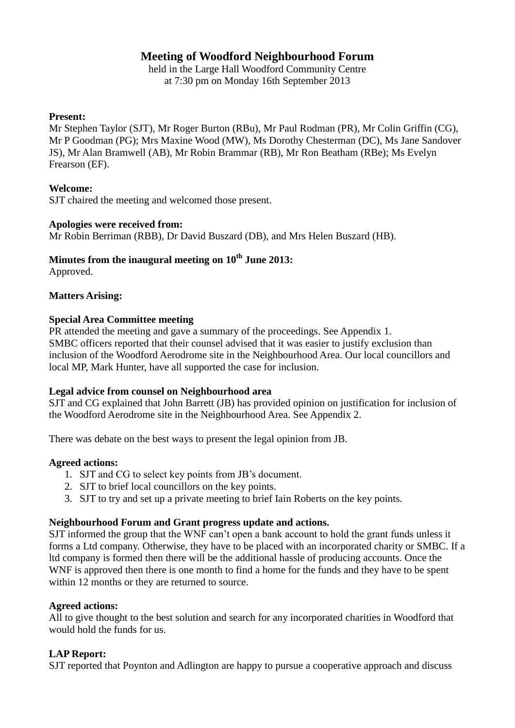# **Meeting of Woodford Neighbourhood Forum**

held in the Large Hall Woodford Community Centre at 7:30 pm on Monday 16th September 2013

## **Present:**

Mr Stephen Taylor (SJT), Mr Roger Burton (RBu), Mr Paul Rodman (PR), Mr Colin Griffin (CG), Mr P Goodman (PG); Mrs Maxine Wood (MW), Ms Dorothy Chesterman (DC), Ms Jane Sandover JS), Mr Alan Bramwell (AB), Mr Robin Brammar (RB), Mr Ron Beatham (RBe); Ms Evelyn Frearson (EF).

# **Welcome:**

SJT chaired the meeting and welcomed those present.

## **Apologies were received from:**

Mr Robin Berriman (RBB), Dr David Buszard (DB), and Mrs Helen Buszard (HB).

# **Minutes from the inaugural meeting on 10th June 2013:**

Approved.

# **Matters Arising:**

## **Special Area Committee meeting**

PR attended the meeting and gave a summary of the proceedings. See Appendix 1. SMBC officers reported that their counsel advised that it was easier to justify exclusion than inclusion of the Woodford Aerodrome site in the Neighbourhood Area. Our local councillors and local MP, Mark Hunter, have all supported the case for inclusion.

# **Legal advice from counsel on Neighbourhood area**

SJT and CG explained that John Barrett (JB) has provided opinion on justification for inclusion of the Woodford Aerodrome site in the Neighbourhood Area. See Appendix 2.

There was debate on the best ways to present the legal opinion from JB.

#### **Agreed actions:**

- 1. SJT and CG to select key points from JB's document.
- 2. SJT to brief local councillors on the key points.
- 3. SJT to try and set up a private meeting to brief Iain Roberts on the key points.

# **Neighbourhood Forum and Grant progress update and actions.**

SJT informed the group that the WNF can't open a bank account to hold the grant funds unless it forms a Ltd company. Otherwise, they have to be placed with an incorporated charity or SMBC. If a ltd company is formed then there will be the additional hassle of producing accounts. Once the WNF is approved then there is one month to find a home for the funds and they have to be spent within 12 months or they are returned to source.

#### **Agreed actions:**

All to give thought to the best solution and search for any incorporated charities in Woodford that would hold the funds for us.

# **LAP Report:**

SJT reported that Poynton and Adlington are happy to pursue a cooperative approach and discuss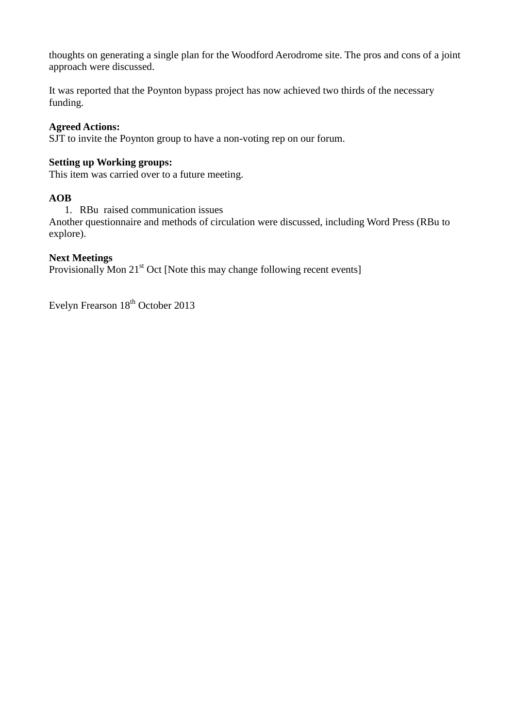thoughts on generating a single plan for the Woodford Aerodrome site. The pros and cons of a joint approach were discussed.

It was reported that the Poynton bypass project has now achieved two thirds of the necessary funding.

## **Agreed Actions:**

SJT to invite the Poynton group to have a non-voting rep on our forum.

## **Setting up Working groups:**

This item was carried over to a future meeting.

## **AOB**

1. RBu raised communication issues

Another questionnaire and methods of circulation were discussed, including Word Press (RBu to explore).

## **Next Meetings**

Provisionally Mon  $21<sup>st</sup>$  Oct [Note this may change following recent events]

Evelyn Frearson  $18<sup>th</sup>$  October 2013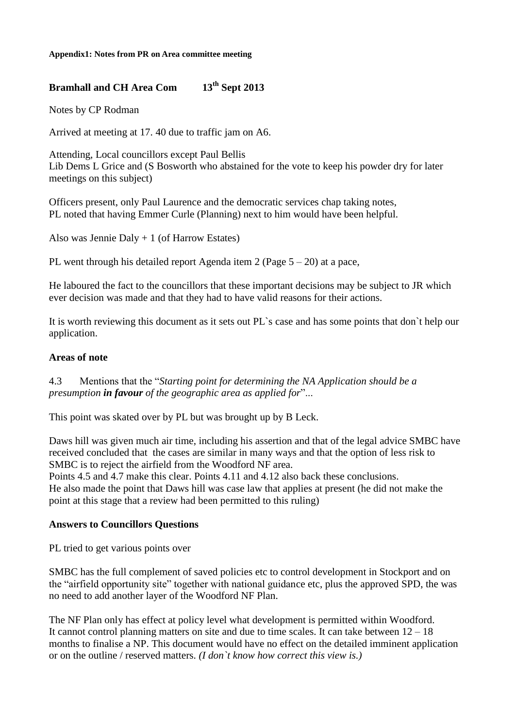# **Bramhall and CH Area Com 13th Sept 2013**

Notes by CP Rodman

Arrived at meeting at 17. 40 due to traffic jam on A6.

Attending, Local councillors except Paul Bellis Lib Dems L Grice and (S Bosworth who abstained for the vote to keep his powder dry for later meetings on this subject)

Officers present, only Paul Laurence and the democratic services chap taking notes, PL noted that having Emmer Curle (Planning) next to him would have been helpful.

Also was Jennie Daly + 1 (of Harrow Estates)

PL went through his detailed report Agenda item 2 (Page 5 – 20) at a pace,

He laboured the fact to the councillors that these important decisions may be subject to JR which ever decision was made and that they had to have valid reasons for their actions.

It is worth reviewing this document as it sets out PL`s case and has some points that don`t help our application.

## **Areas of note**

4.3 Mentions that the "*Starting point for determining the NA Application should be a presumption in favour of the geographic area as applied for*"...

This point was skated over by PL but was brought up by B Leck.

Daws hill was given much air time, including his assertion and that of the legal advice SMBC have received concluded that the cases are similar in many ways and that the option of less risk to SMBC is to reject the airfield from the Woodford NF area.

Points 4.5 and 4.7 make this clear. Points 4.11 and 4.12 also back these conclusions. He also made the point that Daws hill was case law that applies at present (he did not make the point at this stage that a review had been permitted to this ruling)

#### **Answers to Councillors Questions**

PL tried to get various points over

SMBC has the full complement of saved policies etc to control development in Stockport and on the "airfield opportunity site" together with national guidance etc, plus the approved SPD, the was no need to add another layer of the Woodford NF Plan.

The NF Plan only has effect at policy level what development is permitted within Woodford. It cannot control planning matters on site and due to time scales. It can take between  $12 - 18$ months to finalise a NP. This document would have no effect on the detailed imminent application or on the outline / reserved matters. *(I don`t know how correct this view is.)*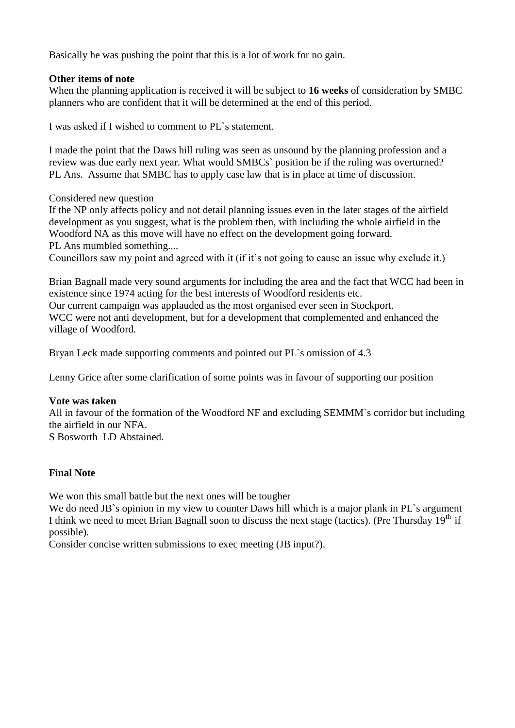Basically he was pushing the point that this is a lot of work for no gain.

# **Other items of note**

When the planning application is received it will be subject to **16 weeks** of consideration by SMBC planners who are confident that it will be determined at the end of this period.

I was asked if I wished to comment to PL`s statement.

I made the point that the Daws hill ruling was seen as unsound by the planning profession and a review was due early next year. What would SMBCs` position be if the ruling was overturned? PL Ans. Assume that SMBC has to apply case law that is in place at time of discussion.

Considered new question

If the NP only affects policy and not detail planning issues even in the later stages of the airfield development as you suggest, what is the problem then, with including the whole airfield in the Woodford NA as this move will have no effect on the development going forward.

PL Ans mumbled something....

Councillors saw my point and agreed with it (if it's not going to cause an issue why exclude it.)

Brian Bagnall made very sound arguments for including the area and the fact that WCC had been in existence since 1974 acting for the best interests of Woodford residents etc. Our current campaign was applauded as the most organised ever seen in Stockport. WCC were not anti development, but for a development that complemented and enhanced the village of Woodford.

Bryan Leck made supporting comments and pointed out PL`s omission of 4.3

Lenny Grice after some clarification of some points was in favour of supporting our position

#### **Vote was taken**

All in favour of the formation of the Woodford NF and excluding SEMMM`s corridor but including the airfield in our NFA. S Bosworth LD Abstained.

# **Final Note**

We won this small battle but the next ones will be tougher

We do need JB's opinion in my view to counter Daws hill which is a major plank in PL's argument I think we need to meet Brian Bagnall soon to discuss the next stage (tactics). (Pre Thursday  $19<sup>th</sup>$  if possible).

Consider concise written submissions to exec meeting (JB input?).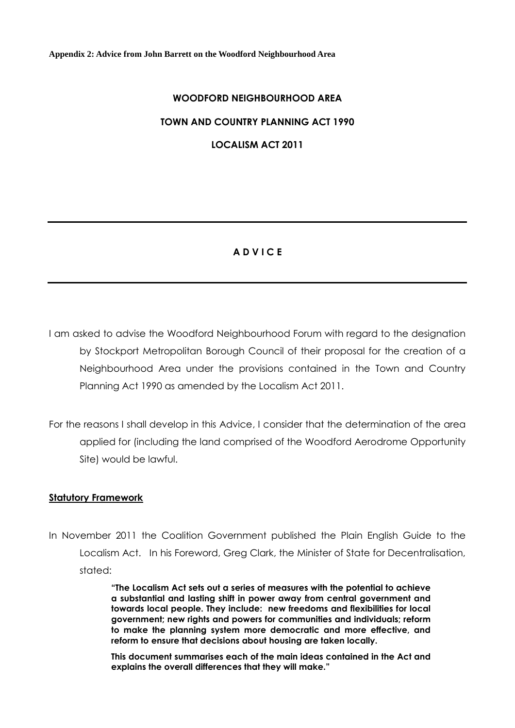**Appendix 2: Advice from John Barrett on the Woodford Neighbourhood Area**

# **WOODFORD NEIGHBOURHOOD AREA**

## **TOWN AND COUNTRY PLANNING ACT 1990**

**LOCALISM ACT 2011**

# **A D V I C E**

I am asked to advise the Woodford Neighbourhood Forum with regard to the designation by Stockport Metropolitan Borough Council of their proposal for the creation of a Neighbourhood Area under the provisions contained in the Town and Country Planning Act 1990 as amended by the Localism Act 2011.

For the reasons I shall develop in this Advice, I consider that the determination of the area applied for (including the land comprised of the Woodford Aerodrome Opportunity Site) would be lawful.

#### **Statutory Framework**

In November 2011 the Coalition Government published the Plain English Guide to the Localism Act. In his Foreword, Greg Clark, the Minister of State for Decentralisation, stated:

> **"The Localism Act sets out a series of measures with the potential to achieve a substantial and lasting shift in power away from central government and towards local people. They include: new freedoms and flexibilities for local government; new rights and powers for communities and individuals; reform to make the planning system more democratic and more effective, and reform to ensure that decisions about housing are taken locally.**

> **This document summarises each of the main ideas contained in the Act and explains the overall differences that they will make."**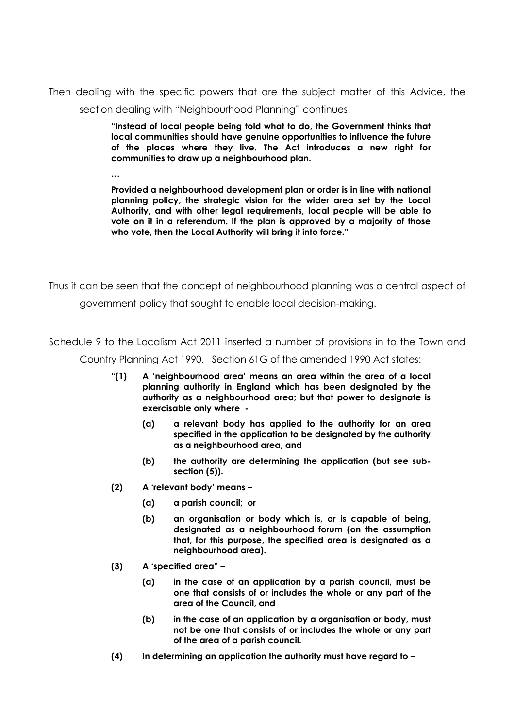Then dealing with the specific powers that are the subject matter of this Advice, the section dealing with "Neighbourhood Planning" continues:

> **"Instead of local people being told what to do, the Government thinks that local communities should have genuine opportunities to influence the future of the places where they live. The Act introduces a new right for communities to draw up a neighbourhood plan.**

> **Provided a neighbourhood development plan or order is in line with national planning policy, the strategic vision for the wider area set by the Local Authority, and with other legal requirements, local people will be able to vote on it in a referendum. If the plan is approved by a majority of those who vote, then the Local Authority will bring it into force."**

Thus it can be seen that the concept of neighbourhood planning was a central aspect of

government policy that sought to enable local decision-making.

Schedule 9 to the Localism Act 2011 inserted a number of provisions in to the Town and

Country Planning Act 1990. Section 61G of the amended 1990 Act states:

- **"(1) A 'neighbourhood area' means an area within the area of a local planning authority in England which has been designated by the authority as a neighbourhood area; but that power to designate is exercisable only where -**
	- **(a) a relevant body has applied to the authority for an area specified in the application to be designated by the authority as a neighbourhood area, and**
	- **(b) the authority are determining the application (but see subsection (5)).**
- **(2) A 'relevant body' means –**
	- **(a) a parish council; or**
	- **(b) an organisation or body which is, or is capable of being, designated as a neighbourhood forum (on the assumption that, for this purpose, the specified area is designated as a neighbourhood area).**
- **(3) A 'specified area" –**

**…**

- **(a) in the case of an application by a parish council, must be one that consists of or includes the whole or any part of the area of the Council, and**
- **(b) in the case of an application by a organisation or body, must not be one that consists of or includes the whole or any part of the area of a parish council.**
- **(4) In determining an application the authority must have regard to –**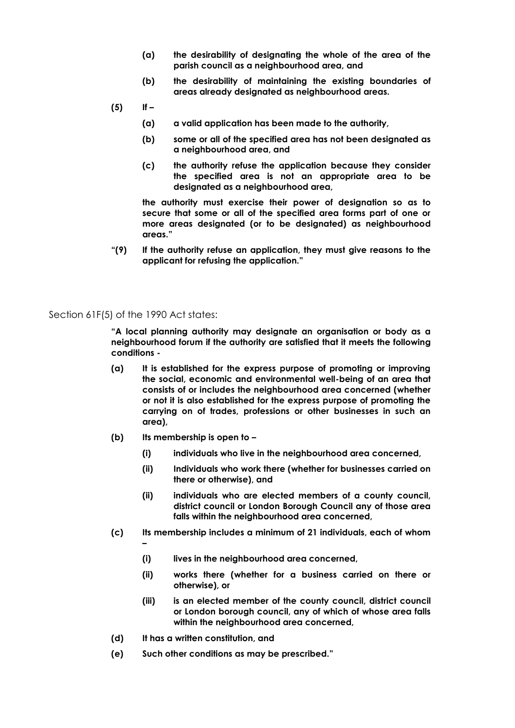- **(a) the desirability of designating the whole of the area of the parish council as a neighbourhood area, and**
- **(b) the desirability of maintaining the existing boundaries of areas already designated as neighbourhood areas.**
- **(5) If –**
	- **(a) a valid application has been made to the authority,**
	- **(b) some or all of the specified area has not been designated as a neighbourhood area, and**
	- **(c) the authority refuse the application because they consider the specified area is not an appropriate area to be designated as a neighbourhood area,**

**the authority must exercise their power of designation so as to secure that some or all of the specified area forms part of one or more areas designated (or to be designated) as neighbourhood areas."**

**"(9) If the authority refuse an application, they must give reasons to the applicant for refusing the application."**

Section 61F(5) of the 1990 Act states:

**–**

**"A local planning authority may designate an organisation or body as a neighbourhood forum if the authority are satisfied that it meets the following conditions -**

- **(a) It is established for the express purpose of promoting or improving the social, economic and environmental well-being of an area that consists of or includes the neighbourhood area concerned (whether or not it is also established for the express purpose of promoting the carrying on of trades, professions or other businesses in such an area),**
- **(b) Its membership is open to –**
	- **(i) individuals who live in the neighbourhood area concerned,**
	- **(ii) Individuals who work there (whether for businesses carried on there or otherwise), and**
	- **(ii) individuals who are elected members of a county council, district council or London Borough Council any of those area falls within the neighbourhood area concerned,**
- **(c) Its membership includes a minimum of 21 individuals, each of whom** 
	- **(i) lives in the neighbourhood area concerned,**
	- **(ii) works there (whether for a business carried on there or otherwise), or**
	- **(iii) is an elected member of the county council, district council or London borough council, any of which of whose area falls within the neighbourhood area concerned,**
- **(d) It has a written constitution, and**
- **(e) Such other conditions as may be prescribed."**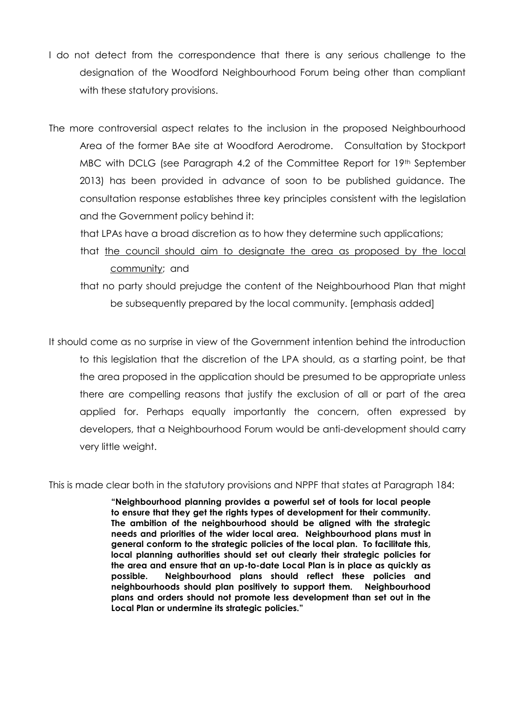- I do not detect from the correspondence that there is any serious challenge to the designation of the Woodford Neighbourhood Forum being other than compliant with these statutory provisions.
- The more controversial aspect relates to the inclusion in the proposed Neighbourhood Area of the former BAe site at Woodford Aerodrome. Consultation by Stockport MBC with DCLG (see Paragraph 4.2 of the Committee Report for 19<sup>th</sup> September 2013) has been provided in advance of soon to be published guidance. The consultation response establishes three key principles consistent with the legislation and the Government policy behind it:
	- that LPAs have a broad discretion as to how they determine such applications;
	- that the council should aim to designate the area as proposed by the local community; and
	- that no party should prejudge the content of the Neighbourhood Plan that might be subsequently prepared by the local community. [emphasis added]

It should come as no surprise in view of the Government intention behind the introduction to this legislation that the discretion of the LPA should, as a starting point, be that the area proposed in the application should be presumed to be appropriate unless there are compelling reasons that justify the exclusion of all or part of the area applied for. Perhaps equally importantly the concern, often expressed by developers, that a Neighbourhood Forum would be anti-development should carry very little weight.

This is made clear both in the statutory provisions and NPPF that states at Paragraph 184:

**"Neighbourhood planning provides a powerful set of tools for local people to ensure that they get the rights types of development for their community. The ambition of the neighbourhood should be aligned with the strategic needs and priorities of the wider local area. Neighbourhood plans must in general conform to the strategic policies of the local plan. To facilitate this, local planning authorities should set out clearly their strategic policies for the area and ensure that an up-to-date Local Plan is in place as quickly as possible. Neighbourhood plans should reflect these policies and neighbourhoods should plan positively to support them. Neighbourhood plans and orders should not promote less development than set out in the Local Plan or undermine its strategic policies."**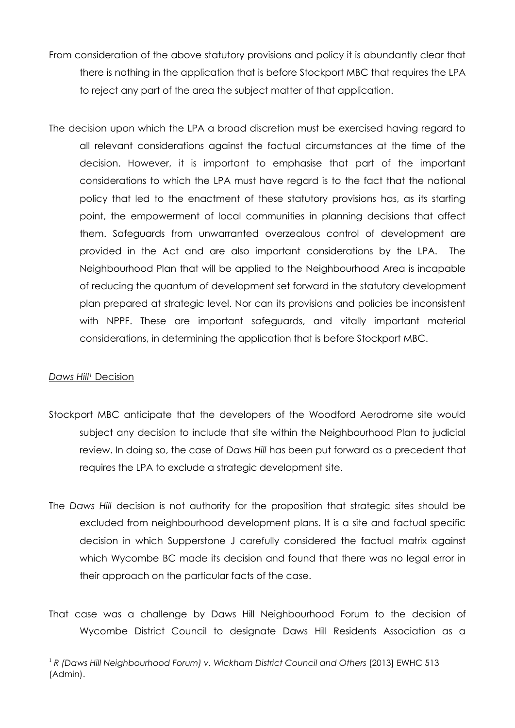- From consideration of the above statutory provisions and policy it is abundantly clear that there is nothing in the application that is before Stockport MBC that requires the LPA to reject any part of the area the subject matter of that application.
- The decision upon which the LPA a broad discretion must be exercised having regard to all relevant considerations against the factual circumstances at the time of the decision. However, it is important to emphasise that part of the important considerations to which the LPA must have regard is to the fact that the national policy that led to the enactment of these statutory provisions has, as its starting point, the empowerment of local communities in planning decisions that affect them. Safeguards from unwarranted overzealous control of development are provided in the Act and are also important considerations by the LPA. The Neighbourhood Plan that will be applied to the Neighbourhood Area is incapable of reducing the quantum of development set forward in the statutory development plan prepared at strategic level. Nor can its provisions and policies be inconsistent with NPPF. These are important safeguards, and vitally important material considerations, in determining the application that is before Stockport MBC.

# *Daws Hill <sup>1</sup>* Decision

- Stockport MBC anticipate that the developers of the Woodford Aerodrome site would subject any decision to include that site within the Neighbourhood Plan to judicial review. In doing so, the case of *Daws Hill* has been put forward as a precedent that requires the LPA to exclude a strategic development site.
- The *Daws Hill* decision is not authority for the proposition that strategic sites should be excluded from neighbourhood development plans. It is a site and factual specific decision in which Supperstone J carefully considered the factual matrix against which Wycombe BC made its decision and found that there was no legal error in their approach on the particular facts of the case.
- That case was a challenge by Daws Hill Neighbourhood Forum to the decision of Wycombe District Council to designate Daws Hill Residents Association as a

<sup>1</sup> <sup>1</sup> R (Daws Hill Neighbourhood Forum) v. Wickham District Council and Others [2013] EWHC 513 (Admin).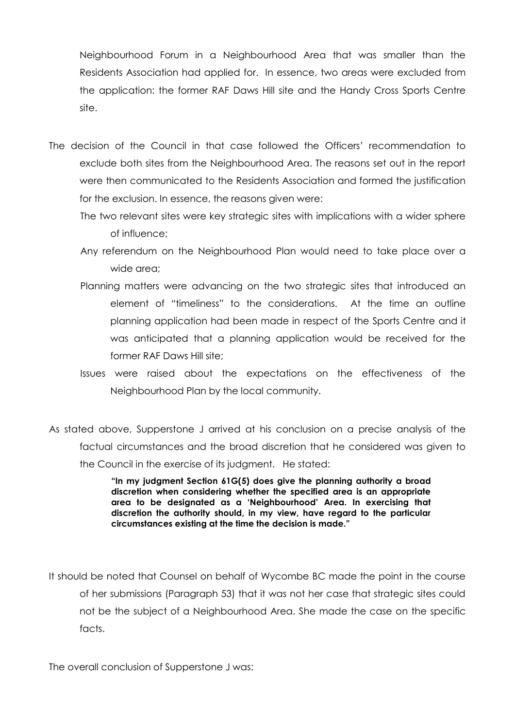Neighbourhood Forum in a Neighbourhood Area that was smaller than the Residents Association had applied for. In essence, two areas were excluded from the application: the former RAF Daws Hill site and the Handy Cross Sports Centre site.

- The decision of the Council in that case followed the Officers' recommendation to exclude both sites from the Neighbourhood Area. The reasons set out in the report were then communicated to the Residents Association and formed the justification for the exclusion. In essence, the reasons given were:
	- The two relevant sites were key strategic sites with implications with a wider sphere of influence;
	- Any referendum on the Neighbourhood Plan would need to take place over a wide area;
	- Planning matters were advancing on the two strategic sites that introduced an element of "timeliness" to the considerations. At the time an outline planning application had been made in respect of the Sports Centre and it was anticipated that a planning application would be received for the former RAF Daws Hill site;
	- Issues were raised about the expectations on the effectiveness of the Neighbourhood Plan by the local community.
- As stated above, Supperstone J arrived at his conclusion on a precise analysis of the factual circumstances and the broad discretion that he considered was given to the Council in the exercise of its judgment. He stated:

**"In my judgment Section 61G(5) does give the planning authority a broad discretion when considering whether the specified area is an appropriate area to be designated as a 'Neighbourhood' Area. In exercising that discretion the authority should, in my view, have regard to the particular circumstances existing at the time the decision is made."**

It should be noted that Counsel on behalf of Wycombe BC made the point in the course of her submissions (Paragraph 53) that it was not her case that strategic sites could not be the subject of a Neighbourhood Area. She made the case on the specific facts.

The overall conclusion of Supperstone J was: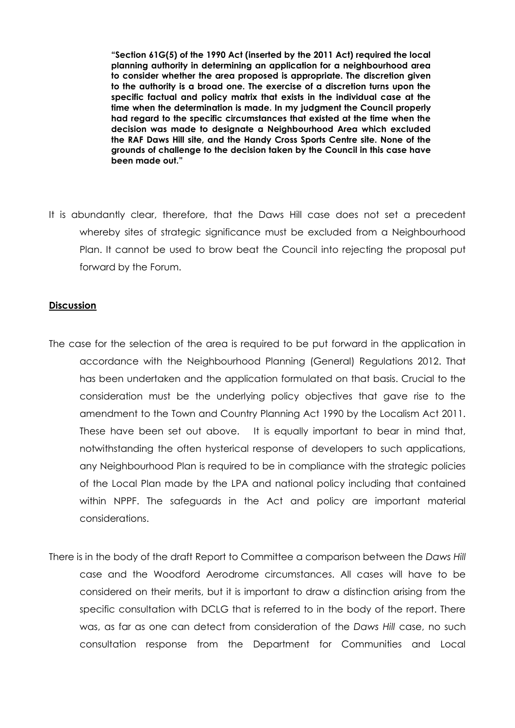**"Section 61G(5) of the 1990 Act (inserted by the 2011 Act) required the local planning authority in determining an application for a neighbourhood area to consider whether the area proposed is appropriate. The discretion given to the authority is a broad one. The exercise of a discretion turns upon the specific factual and policy matrix that exists in the individual case at the time when the determination is made. In my judgment the Council properly had regard to the specific circumstances that existed at the time when the decision was made to designate a Neighbourhood Area which excluded the RAF Daws Hill site, and the Handy Cross Sports Centre site. None of the grounds of challenge to the decision taken by the Council in this case have been made out."**

It is abundantly clear, therefore, that the Daws Hill case does not set a precedent whereby sites of strategic significance must be excluded from a Neighbourhood Plan. It cannot be used to brow beat the Council into rejecting the proposal put forward by the Forum.

#### **Discussion**

- The case for the selection of the area is required to be put forward in the application in accordance with the Neighbourhood Planning (General) Regulations 2012. That has been undertaken and the application formulated on that basis. Crucial to the consideration must be the underlying policy objectives that gave rise to the amendment to the Town and Country Planning Act 1990 by the Localism Act 2011. These have been set out above. It is equally important to bear in mind that, notwithstanding the often hysterical response of developers to such applications, any Neighbourhood Plan is required to be in compliance with the strategic policies of the Local Plan made by the LPA and national policy including that contained within NPPF. The safeguards in the Act and policy are important material considerations.
- There is in the body of the draft Report to Committee a comparison between the *Daws Hill* case and the Woodford Aerodrome circumstances. All cases will have to be considered on their merits, but it is important to draw a distinction arising from the specific consultation with DCLG that is referred to in the body of the report. There was, as far as one can detect from consideration of the *Daws Hill* case, no such consultation response from the Department for Communities and Local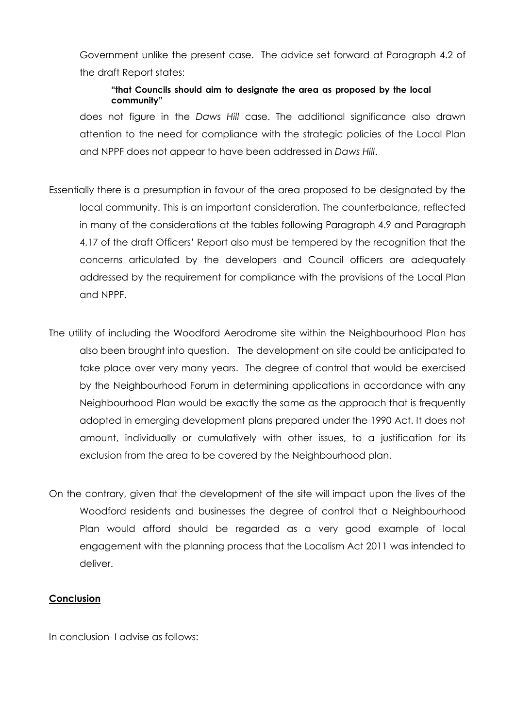Government unlike the present case. The advice set forward at Paragraph 4.2 of the draft Report states:

## **"that Councils should aim to designate the area as proposed by the local community"**

does not figure in the *Daws Hill* case. The additional significance also drawn attention to the need for compliance with the strategic policies of the Local Plan and NPPF does not appear to have been addressed in *Daws Hill*.

- Essentially there is a presumption in favour of the area proposed to be designated by the local community. This is an important consideration. The counterbalance, reflected in many of the considerations at the tables following Paragraph 4.9 and Paragraph 4.17 of the draft Officers' Report also must be tempered by the recognition that the concerns articulated by the developers and Council officers are adequately addressed by the requirement for compliance with the provisions of the Local Plan and NPPF.
- The utility of including the Woodford Aerodrome site within the Neighbourhood Plan has also been brought into question. The development on site could be anticipated to take place over very many years. The degree of control that would be exercised by the Neighbourhood Forum in determining applications in accordance with any Neighbourhood Plan would be exactly the same as the approach that is frequently adopted in emerging development plans prepared under the 1990 Act. It does not amount, individually or cumulatively with other issues, to a justification for its exclusion from the area to be covered by the Neighbourhood plan.
- On the contrary, given that the development of the site will impact upon the lives of the Woodford residents and businesses the degree of control that a Neighbourhood Plan would afford should be regarded as a very good example of local engagement with the planning process that the Localism Act 2011 was intended to deliver.

#### **Conclusion**

In conclusion I advise as follows: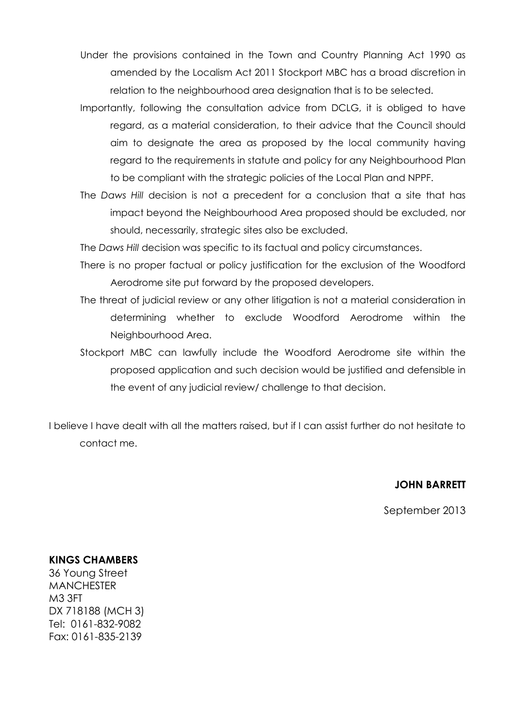- Under the provisions contained in the Town and Country Planning Act 1990 as amended by the Localism Act 2011 Stockport MBC has a broad discretion in relation to the neighbourhood area designation that is to be selected.
- Importantly, following the consultation advice from DCLG, it is obliged to have regard, as a material consideration, to their advice that the Council should aim to designate the area as proposed by the local community having regard to the requirements in statute and policy for any Neighbourhood Plan to be compliant with the strategic policies of the Local Plan and NPPF.
- The *Daws Hill* decision is not a precedent for a conclusion that a site that has impact beyond the Neighbourhood Area proposed should be excluded, nor should, necessarily, strategic sites also be excluded.

The *Daws Hill* decision was specific to its factual and policy circumstances.

- There is no proper factual or policy justification for the exclusion of the Woodford Aerodrome site put forward by the proposed developers.
- The threat of judicial review or any other litigation is not a material consideration in determining whether to exclude Woodford Aerodrome within the Neighbourhood Area.
- Stockport MBC can lawfully include the Woodford Aerodrome site within the proposed application and such decision would be justified and defensible in the event of any judicial review/ challenge to that decision.

I believe I have dealt with all the matters raised, but if I can assist further do not hesitate to contact me.

#### **JOHN BARRETT**

September 2013

#### **KINGS CHAMBERS**

36 Young Street **MANCHESTER** M3 3FT DX 718188 (MCH 3) Tel: 0161-832-9082 Fax: 0161-835-2139